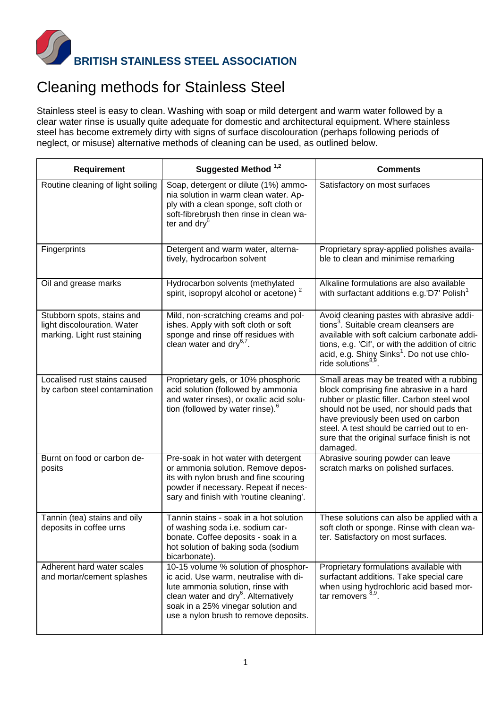

## Cleaning methods for Stainless Steel

Stainless steel is easy to clean. Washing with soap or mild detergent and warm water followed by a clear water rinse is usually quite adequate for domestic and architectural equipment. Where stainless steel has become extremely dirty with signs of surface discolouration (perhaps following periods of neglect, or misuse) alternative methods of cleaning can be used, as outlined below.

| <b>Requirement</b>                                                                        | Suggested Method <sup>1,2</sup>                                                                                                                                                                                                                        | <b>Comments</b>                                                                                                                                                                                                                                                                                                                   |
|-------------------------------------------------------------------------------------------|--------------------------------------------------------------------------------------------------------------------------------------------------------------------------------------------------------------------------------------------------------|-----------------------------------------------------------------------------------------------------------------------------------------------------------------------------------------------------------------------------------------------------------------------------------------------------------------------------------|
| Routine cleaning of light soiling                                                         | Soap, detergent or dilute (1%) ammo-<br>nia solution in warm clean water. Ap-<br>ply with a clean sponge, soft cloth or<br>soft-fibrebrush then rinse in clean wa-<br>ter and $\text{dry}^6$                                                           | Satisfactory on most surfaces                                                                                                                                                                                                                                                                                                     |
| Fingerprints                                                                              | Detergent and warm water, alterna-<br>tively, hydrocarbon solvent                                                                                                                                                                                      | Proprietary spray-applied polishes availa-<br>ble to clean and minimise remarking                                                                                                                                                                                                                                                 |
| Oil and grease marks                                                                      | Hydrocarbon solvents (methylated<br>spirit, isopropyl alcohol or acetone) <sup>2</sup>                                                                                                                                                                 | Alkaline formulations are also available<br>with surfactant additions e.g.'D7' Polish <sup>1</sup>                                                                                                                                                                                                                                |
| Stubborn spots, stains and<br>light discolouration. Water<br>marking. Light rust staining | Mild, non-scratching creams and pol-<br>ishes. Apply with soft cloth or soft<br>sponge and rinse off residues with<br>clean water and $\text{dry}^{6,7}$ .                                                                                             | Avoid cleaning pastes with abrasive addi-<br>tions <sup>3</sup> . Suitable cream cleansers are<br>available with soft calcium carbonate addi-<br>tions, e.g. 'Cif', or with the addition of citric<br>acid, e.g. Shiny Sinks <sup>1</sup> . Do not use chlo-<br>ride solutions <sup>8,9</sup> .                                   |
| Localised rust stains caused<br>by carbon steel contamination                             | Proprietary gels, or 10% phosphoric<br>acid solution (followed by ammonia<br>and water rinses), or oxalic acid solu-<br>tion (followed by water rinse). <sup>6</sup>                                                                                   | Small areas may be treated with a rubbing<br>block comprising fine abrasive in a hard<br>rubber or plastic filler. Carbon steel wool<br>should not be used, nor should pads that<br>have previously been used on carbon<br>steel. A test should be carried out to en-<br>sure that the original surface finish is not<br>damaged. |
| Burnt on food or carbon de-<br>posits                                                     | Pre-soak in hot water with detergent<br>or ammonia solution. Remove depos-<br>its with nylon brush and fine scouring<br>powder if necessary. Repeat if neces-<br>sary and finish with 'routine cleaning'.                                              | Abrasive souring powder can leave<br>scratch marks on polished surfaces.                                                                                                                                                                                                                                                          |
| Tannin (tea) stains and oily<br>deposits in coffee urns                                   | Tannin stains - soak in a hot solution<br>of washing soda i.e. sodium car-<br>bonate. Coffee deposits - soak in a<br>hot solution of baking soda (sodium<br>bicarbonate).                                                                              | These solutions can also be applied with a<br>soft cloth or sponge. Rinse with clean wa-<br>ter. Satisfactory on most surfaces.                                                                                                                                                                                                   |
| Adherent hard water scales<br>and mortar/cement splashes                                  | 10-15 volume % solution of phosphor-<br>ic acid. Use warm, neutralise with di-<br>lute ammonia solution, rinse with<br>clean water and dry <sup>6</sup> . Alternatively<br>soak in a 25% vinegar solution and<br>use a nylon brush to remove deposits. | Proprietary formulations available with<br>surfactant additions. Take special care<br>when using hydrochloric acid based mor-<br>tar removers $^{8,9}$ .                                                                                                                                                                          |